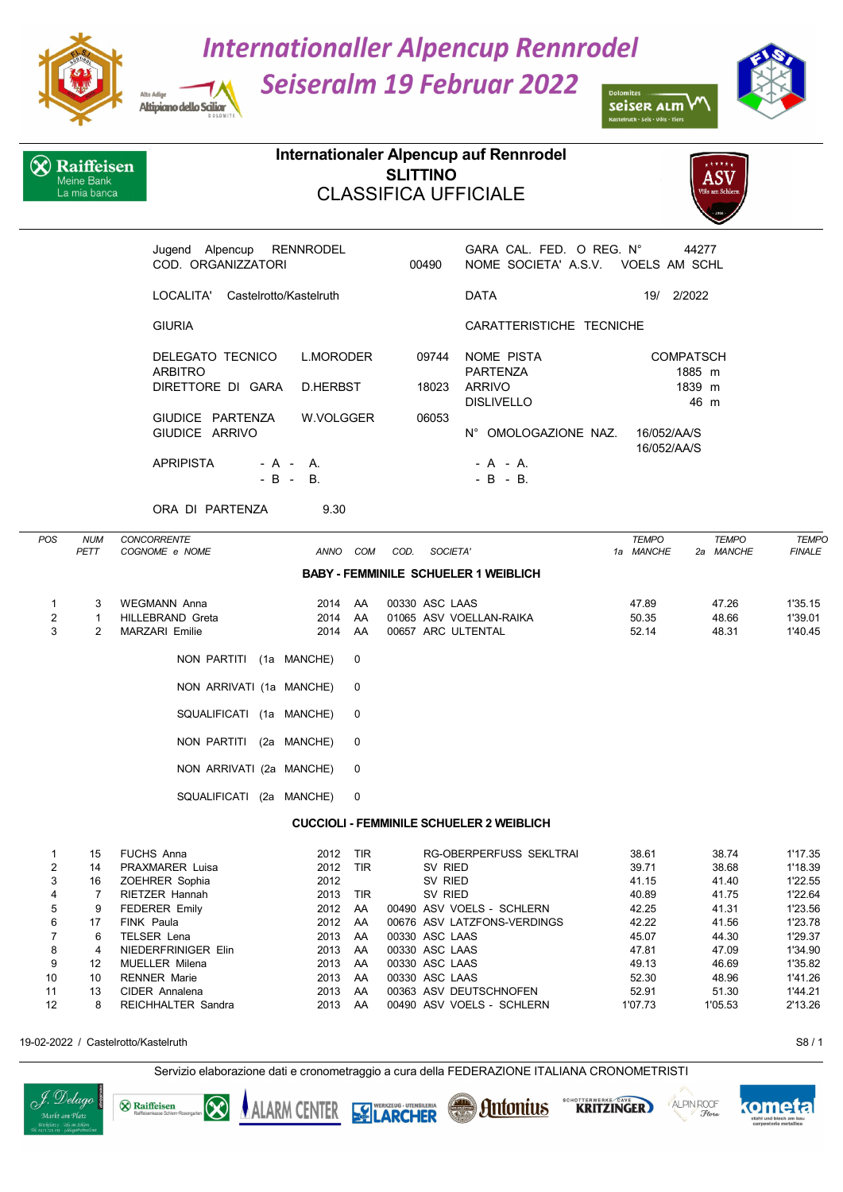

Alto Adias

Altipiano dello Sciliar

4 NIEDERFRINIGER Elin

**&** Raiffeisen

 $\infty$ 

J. Delago

.<br>Markt am Plat

## **Internationaller Alpencup Rennrodel**

**Seiseralm 19 Februar 2022** 



seiser alm Kastelruth • Seis • Völs • Tiers

|                                       | Raiffeisen<br>Meine Bank<br>La mia banca |                                                                                                                                         |                                                                                   | <b>SLITTINO</b>         | Internationaler Alpencup auf Rennrodel<br><b>CLASSIFICA UFFICIALE</b>                                                |                                                          | ASV<br>Völs am Schlern                             |                                                                |
|---------------------------------------|------------------------------------------|-----------------------------------------------------------------------------------------------------------------------------------------|-----------------------------------------------------------------------------------|-------------------------|----------------------------------------------------------------------------------------------------------------------|----------------------------------------------------------|----------------------------------------------------|----------------------------------------------------------------|
|                                       |                                          | Jugend Alpencup<br>COD. ORGANIZZATORI                                                                                                   | <b>RENNRODEL</b>                                                                  | 00490                   | GARA CAL. FED. O REG. N°<br>NOME SOCIETA' A.S.V. VOELS AM SCHL                                                       |                                                          | 44277                                              |                                                                |
|                                       |                                          | LOCALITA'<br>Castelrotto/Kastelruth                                                                                                     |                                                                                   |                         | <b>DATA</b>                                                                                                          | 19/ 2/2022                                               |                                                    |                                                                |
|                                       |                                          | <b>GIURIA</b>                                                                                                                           |                                                                                   |                         | CARATTERISTICHE TECNICHE                                                                                             |                                                          |                                                    |                                                                |
|                                       |                                          | DELEGATO TECNICO<br><b>ARBITRO</b><br>DIRETTORE DI GARA<br>GIUDICE PARTENZA<br>GIUDICE ARRIVO<br><b>APRIPISTA</b><br>- A - A.<br>$-B -$ | <b>L.MORODER</b><br>D.HERBST<br>W.VOLGGER<br>В.                                   | 09744<br>18023<br>06053 | NOME PISTA<br><b>PARTENZA</b><br><b>ARRIVO</b><br><b>DISLIVELLO</b><br>N° OMOLOGAZIONE NAZ.<br>- A - A.<br>- B - B.  | <b>COMPATSCH</b><br>1839 m<br>16/052/AA/S<br>16/052/AA/S | 1885 m<br>46 m                                     |                                                                |
|                                       |                                          | ORA DI PARTENZA                                                                                                                         | 9.30                                                                              |                         |                                                                                                                      |                                                          |                                                    |                                                                |
| <b>POS</b>                            | <b>NUM</b><br>PETT                       | CONCORRENTE<br>COGNOME e NOME                                                                                                           | ANNO COM                                                                          | COD.                    | SOCIETA'<br><b>BABY - FEMMINILE SCHUELER 1 WEIBLICH</b>                                                              | <b>TEMPO</b><br>1a MANCHE                                | <b>TEMPO</b><br>2a MANCHE                          | <b>TEMPO</b><br><b>FINALE</b>                                  |
| 1<br>$\boldsymbol{2}$                 | 3<br>$\mathbf{1}$                        | <b>WEGMANN Anna</b><br>HILLEBRAND Greta                                                                                                 | 2014<br>AA<br>2014<br>AA                                                          | 00330 ASC LAAS          | 01065 ASV VOELLAN-RAIKA                                                                                              | 47.89<br>50.35                                           | 47.26<br>48.66                                     | 1'35.15<br>1'39.01                                             |
| 3                                     | $\overline{2}$                           | <b>MARZARI Emilie</b><br>NON PARTITI (1a MANCHE)                                                                                        | 2014<br>AA<br>0                                                                   |                         | 00657 ARC ULTENTAL                                                                                                   | 52.14                                                    | 48.31                                              | 1'40.45                                                        |
|                                       |                                          | NON ARRIVATI (1a MANCHE)                                                                                                                | 0                                                                                 |                         |                                                                                                                      |                                                          |                                                    |                                                                |
|                                       |                                          | SQUALIFICATI (1a MANCHE)                                                                                                                | 0                                                                                 |                         |                                                                                                                      |                                                          |                                                    |                                                                |
|                                       |                                          | NON PARTITI (2a MANCHE)                                                                                                                 | 0                                                                                 |                         |                                                                                                                      |                                                          |                                                    |                                                                |
|                                       |                                          | NON ARRIVATI (2a MANCHE)                                                                                                                | 0                                                                                 |                         |                                                                                                                      |                                                          |                                                    |                                                                |
|                                       |                                          | SQUALIFICATI (2a MANCHE)                                                                                                                | 0                                                                                 |                         |                                                                                                                      |                                                          |                                                    |                                                                |
|                                       |                                          |                                                                                                                                         |                                                                                   |                         | <b>CUCCIOLI - FEMMINILE SCHUELER 2 WEIBLICH</b>                                                                      |                                                          |                                                    |                                                                |
| $\mathbf{1}$<br>2<br>3<br>4<br>5<br>6 | 15<br>14<br>16<br>7<br>9<br>17           | FUCHS Anna<br>PRAXMARER Luisa<br>ZOEHRER Sophia<br>RIETZER Hannah<br><b>FEDERER Emily</b><br>FINK Paula                                 | 2012<br>TIR<br>2012<br><b>TIR</b><br>2012<br>2013<br>TIR<br>2012<br>AA<br>2012 AA |                         | RG-OBERPERFUSS SEKLTRAI<br>SV RIED<br>SV RIED<br>SV RIED<br>00490 ASV VOELS - SCHLERN<br>00676 ASV LATZFONS-VERDINGS | 38.61<br>39.71<br>41.15<br>40.89<br>42.25<br>42.22       | 38.74<br>38.68<br>41.40<br>41.75<br>41.31<br>41.56 | 1'17.35<br>1'18.39<br>1'22.55<br>1'22.64<br>1'23.56<br>1'23.78 |

19-02-2022 / Castelrotto/Kastelruth S8 / 1

kometa

ALPIN ROOF

**KRITZINGER** 

Servizio elaborazione dati e cronometraggio a cura della FEDERAZIONE ITALIANA CRONOMETRISTI

**ES LARCHER** 

7 6 TELSER Lena 2013 AA 00330 ASC LAAS 45.07 44.30 1'29.37

9 12 MUELLER Milena 2013 AA 00330 ASC LAAS 49.13 46.69 1'35.82

11 13 CIDER Annalena 2013 AA 00363 ASV DEUTSCHNOFEN 52.91 51.30 1'44.21

**Antonius** 

10 RENNER Marie 2013 AA 00330 ASC LAAS 52.30

12 8 REICHHALTER Sandra 12 2013 AA 00490 ASV VOELS - SCHLERN

**ALARM CENTER**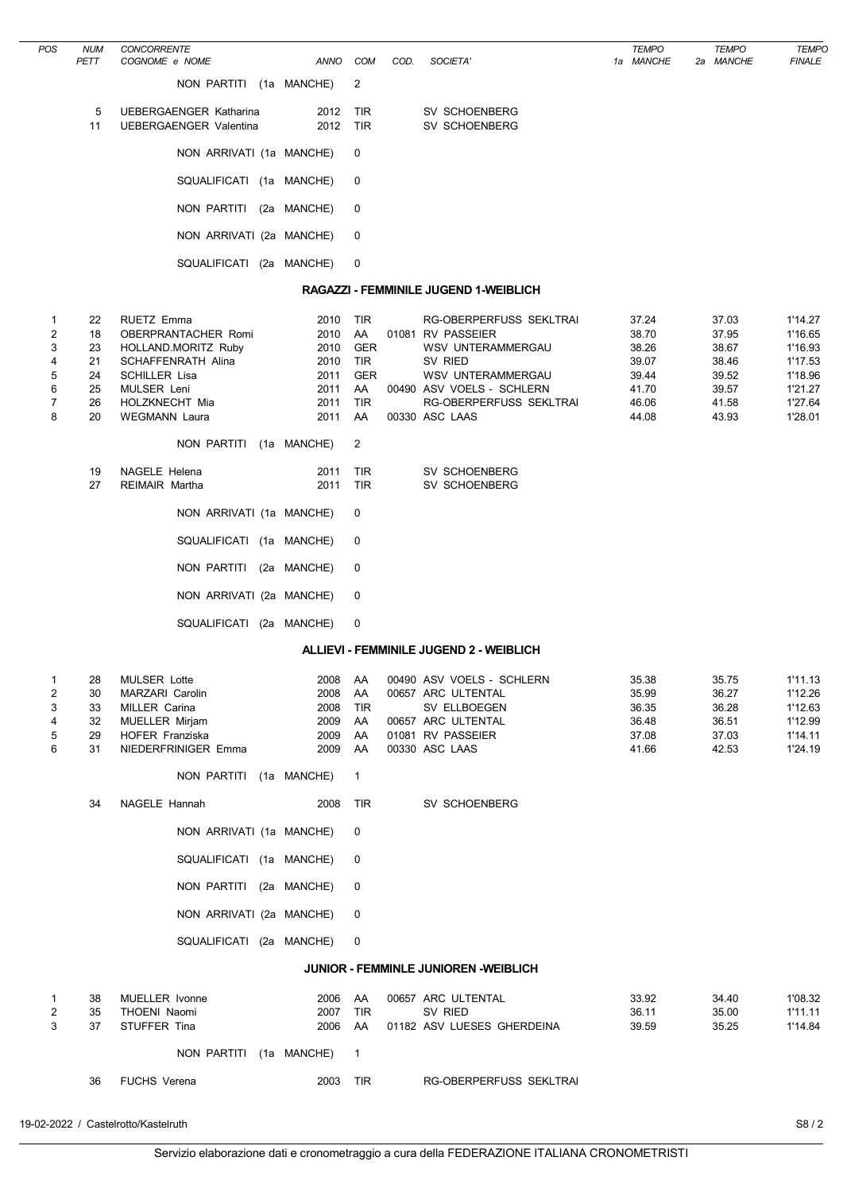| POS                                               | <b>NUM</b><br>PETT                                       | <b>CONCORRENTE</b><br>COGNOME e NOME                                                                                                                                                                                                                                                                                                                         | <b>ANNO</b>                                                                                 | <b>COM</b>                                                                                                                                | COD. | SOCIETA'                                                                                                                                                                                                             |  | <b>TEMPO</b><br>1a MANCHE                                            |  | <b>TEMPO</b><br>2a MANCHE                                            | <b>TEMPO</b><br><b>FINALE</b>                                                        |  |
|---------------------------------------------------|----------------------------------------------------------|--------------------------------------------------------------------------------------------------------------------------------------------------------------------------------------------------------------------------------------------------------------------------------------------------------------------------------------------------------------|---------------------------------------------------------------------------------------------|-------------------------------------------------------------------------------------------------------------------------------------------|------|----------------------------------------------------------------------------------------------------------------------------------------------------------------------------------------------------------------------|--|----------------------------------------------------------------------|--|----------------------------------------------------------------------|--------------------------------------------------------------------------------------|--|
|                                                   |                                                          | NON PARTITI (1a MANCHE)                                                                                                                                                                                                                                                                                                                                      |                                                                                             | 2                                                                                                                                         |      |                                                                                                                                                                                                                      |  |                                                                      |  |                                                                      |                                                                                      |  |
|                                                   | 5<br>11                                                  | <b>UEBERGAENGER Katharina</b><br><b>UEBERGAENGER Valentina</b>                                                                                                                                                                                                                                                                                               | 2012<br>2012                                                                                | TIR<br><b>TIR</b>                                                                                                                         |      | SV SCHOENBERG<br>SV SCHOENBERG                                                                                                                                                                                       |  |                                                                      |  |                                                                      |                                                                                      |  |
|                                                   |                                                          | NON ARRIVATI (1a MANCHE)                                                                                                                                                                                                                                                                                                                                     |                                                                                             | 0                                                                                                                                         |      |                                                                                                                                                                                                                      |  |                                                                      |  |                                                                      |                                                                                      |  |
|                                                   |                                                          | SQUALIFICATI (1a MANCHE)                                                                                                                                                                                                                                                                                                                                     |                                                                                             | 0                                                                                                                                         |      |                                                                                                                                                                                                                      |  |                                                                      |  |                                                                      |                                                                                      |  |
|                                                   |                                                          | NON PARTITI (2a MANCHE)                                                                                                                                                                                                                                                                                                                                      |                                                                                             | 0                                                                                                                                         |      |                                                                                                                                                                                                                      |  |                                                                      |  |                                                                      |                                                                                      |  |
|                                                   |                                                          | NON ARRIVATI (2a MANCHE)                                                                                                                                                                                                                                                                                                                                     |                                                                                             | 0                                                                                                                                         |      |                                                                                                                                                                                                                      |  |                                                                      |  |                                                                      |                                                                                      |  |
|                                                   |                                                          | SQUALIFICATI (2a MANCHE)                                                                                                                                                                                                                                                                                                                                     |                                                                                             | 0                                                                                                                                         |      |                                                                                                                                                                                                                      |  |                                                                      |  |                                                                      |                                                                                      |  |
| RAGAZZI - FEMMINILE JUGEND 1-WEIBLICH             |                                                          |                                                                                                                                                                                                                                                                                                                                                              |                                                                                             |                                                                                                                                           |      |                                                                                                                                                                                                                      |  |                                                                      |  |                                                                      |                                                                                      |  |
| 1<br>2<br>3<br>4<br>5<br>6<br>$\overline{7}$<br>8 | 22<br>18<br>23<br>21<br>24<br>25<br>26<br>20<br>19<br>27 | <b>RUETZ Emma</b><br>OBERPRANTACHER Romi<br>HOLLAND.MORITZ Ruby<br>SCHAFFENRATH Alina<br><b>SCHILLER Lisa</b><br><b>MULSER Leni</b><br>HOLZKNECHT Mia<br><b>WEGMANN Laura</b><br>NON PARTITI<br><b>NAGELE Helena</b><br><b>REIMAIR Martha</b><br>NON ARRIVATI (1a MANCHE)<br>SQUALIFICATI (1a MANCHE)<br>NON PARTITI (2a MANCHE)<br>NON ARRIVATI (2a MANCHE) | 2010<br>2010<br>2010<br>2010<br>2011<br>2011<br>2011<br>2011<br>(1a MANCHE)<br>2011<br>2011 | <b>TIR</b><br>AA<br><b>GER</b><br><b>TIR</b><br><b>GER</b><br>AA<br><b>TIR</b><br>AA<br>2<br><b>TIR</b><br><b>TIR</b><br>0<br>0<br>0<br>0 |      | RG-OBERPERFUSS SEKLTRAI<br>01081 RV PASSEIER<br><b>WSV UNTERAMMERGAU</b><br>SV RIED<br>WSV UNTERAMMERGAU<br>00490 ASV VOELS - SCHLERN<br>RG-OBERPERFUSS SEKLTRAI<br>00330 ASC LAAS<br>SV SCHOENBERG<br>SV SCHOENBERG |  | 37.24<br>38.70<br>38.26<br>39.07<br>39.44<br>41.70<br>46.06<br>44.08 |  | 37.03<br>37.95<br>38.67<br>38.46<br>39.52<br>39.57<br>41.58<br>43.93 | 1'14.27<br>1'16.65<br>1'16.93<br>1'17.53<br>1'18.96<br>1'21.27<br>1'27.64<br>1'28.01 |  |
|                                                   |                                                          | SQUALIFICATI (2a MANCHE)                                                                                                                                                                                                                                                                                                                                     |                                                                                             | 0                                                                                                                                         |      |                                                                                                                                                                                                                      |  |                                                                      |  |                                                                      |                                                                                      |  |
|                                                   |                                                          |                                                                                                                                                                                                                                                                                                                                                              |                                                                                             |                                                                                                                                           |      | <b>ALLIEVI - FEMMINILE JUGEND 2 - WEIBLICH</b>                                                                                                                                                                       |  |                                                                      |  |                                                                      |                                                                                      |  |
| 1<br>2<br>3<br>4<br>5<br>6                        | 28<br>30<br>33<br>32<br>29<br>31                         | <b>MULSER Lotte</b><br>MARZARI Carolin<br>MILLER Carina<br>MUELLER Mirjam<br>HOFER Franziska<br>NIEDERFRINIGER Emma<br>NON PARTITI (1a MANCHE)                                                                                                                                                                                                               | 2008<br>2008<br>2008<br>2009<br>2009<br>2009                                                | AA<br>AA<br>TIR<br>AA<br>AA<br>AA<br>$\mathbf{1}$                                                                                         |      | 00490 ASV VOELS - SCHLERN<br>00657 ARC ULTENTAL<br>SV ELLBOEGEN<br>00657 ARC ULTENTAL<br>01081 RV PASSEIER<br>00330 ASC LAAS                                                                                         |  | 35.38<br>35.99<br>36.35<br>36.48<br>37.08<br>41.66                   |  | 35.75<br>36.27<br>36.28<br>36.51<br>37.03<br>42.53                   | 1'11.13<br>1'12.26<br>1'12.63<br>1'12.99<br>1'14.11<br>1'24.19                       |  |
|                                                   | 34                                                       | NAGELE Hannah                                                                                                                                                                                                                                                                                                                                                | 2008                                                                                        | TIR                                                                                                                                       |      | SV SCHOENBERG                                                                                                                                                                                                        |  |                                                                      |  |                                                                      |                                                                                      |  |

NON ARRIVATI (1a MANCHE) 0 SQUALIFICATI (1a MANCHE) 0 NON PARTITI (2a MANCHE) 0 NON ARRIVATI (2a MANCHE) 0 SQUALIFICATI (2a MANCHE) 0

## JUNIOR - FEMMINLE JUNIOREN -WEIBLICH

| 38<br>35<br>37 | MUELLER Ivonne<br>THOENI Naomi<br>STUFFER Tina | 2006<br>2007<br>2006    | AA<br><b>TIR</b><br>AA | 00657 ARC ULTENTAL<br>SV RIED<br>01182 ASV LUESES GHERDEINA | 33.92<br>36.11<br>39.59 | 34.40<br>35.00<br>35.25 | 1'08.32<br>1'11.11<br>1'14.84 |
|----------------|------------------------------------------------|-------------------------|------------------------|-------------------------------------------------------------|-------------------------|-------------------------|-------------------------------|
|                |                                                | NON PARTITI (1a MANCHE) |                        |                                                             |                         |                         |                               |
| 36             | <b>FUCHS Verena</b>                            | 2003                    | <b>TIR</b>             | RG-OBERPERFUSS SEKLTRAI                                     |                         |                         |                               |

19-02-2022 / Castelrotto/Kastelruth S8 / 2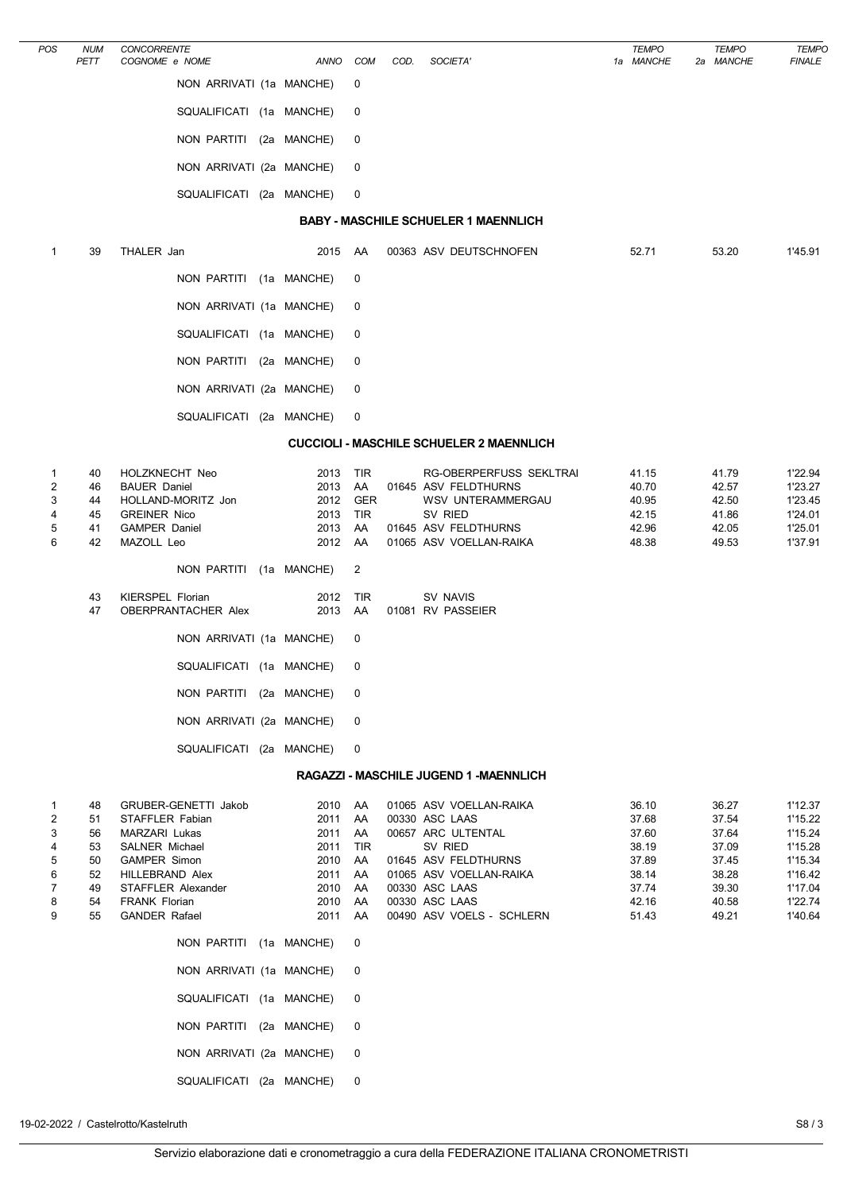| POS                                       | <b>NUM</b><br>PETT                                 | CONCORRENTE<br>COGNOME e NOME                                                                                                                                                              | ANNO                                                                 | COM                                                        | COD. | SOCIETA'                                                                                                                                                                                       | <b>TEMPO</b><br>1a MANCHE                                                     | <b>TEMPO</b><br>2a MANCHE                                                     | <b>TEMPO</b><br><b>FINALE</b>                                                                   |
|-------------------------------------------|----------------------------------------------------|--------------------------------------------------------------------------------------------------------------------------------------------------------------------------------------------|----------------------------------------------------------------------|------------------------------------------------------------|------|------------------------------------------------------------------------------------------------------------------------------------------------------------------------------------------------|-------------------------------------------------------------------------------|-------------------------------------------------------------------------------|-------------------------------------------------------------------------------------------------|
|                                           |                                                    | NON ARRIVATI (1a MANCHE)                                                                                                                                                                   |                                                                      | 0                                                          |      |                                                                                                                                                                                                |                                                                               |                                                                               |                                                                                                 |
|                                           |                                                    | SQUALIFICATI (1a MANCHE)                                                                                                                                                                   |                                                                      | 0                                                          |      |                                                                                                                                                                                                |                                                                               |                                                                               |                                                                                                 |
|                                           |                                                    | NON PARTITI (2a MANCHE)                                                                                                                                                                    |                                                                      | 0                                                          |      |                                                                                                                                                                                                |                                                                               |                                                                               |                                                                                                 |
|                                           |                                                    | NON ARRIVATI (2a MANCHE)                                                                                                                                                                   |                                                                      | 0                                                          |      |                                                                                                                                                                                                |                                                                               |                                                                               |                                                                                                 |
|                                           |                                                    | SQUALIFICATI (2a MANCHE)                                                                                                                                                                   |                                                                      | 0                                                          |      |                                                                                                                                                                                                |                                                                               |                                                                               |                                                                                                 |
|                                           |                                                    |                                                                                                                                                                                            |                                                                      |                                                            |      | <b>BABY - MASCHILE SCHUELER 1 MAENNLICH</b>                                                                                                                                                    |                                                                               |                                                                               |                                                                                                 |
| 1                                         | 39                                                 | THALER Jan                                                                                                                                                                                 | 2015                                                                 | AA                                                         |      | 00363 ASV DEUTSCHNOFEN                                                                                                                                                                         | 52.71                                                                         | 53.20                                                                         | 1'45.91                                                                                         |
|                                           |                                                    | NON PARTITI (1a MANCHE)                                                                                                                                                                    |                                                                      | 0                                                          |      |                                                                                                                                                                                                |                                                                               |                                                                               |                                                                                                 |
|                                           |                                                    | NON ARRIVATI (1a MANCHE)                                                                                                                                                                   |                                                                      | 0                                                          |      |                                                                                                                                                                                                |                                                                               |                                                                               |                                                                                                 |
|                                           |                                                    | SQUALIFICATI (1a MANCHE)                                                                                                                                                                   |                                                                      | 0                                                          |      |                                                                                                                                                                                                |                                                                               |                                                                               |                                                                                                 |
|                                           |                                                    | NON PARTITI (2a MANCHE)                                                                                                                                                                    |                                                                      | 0                                                          |      |                                                                                                                                                                                                |                                                                               |                                                                               |                                                                                                 |
|                                           |                                                    | NON ARRIVATI (2a MANCHE)                                                                                                                                                                   |                                                                      | 0                                                          |      |                                                                                                                                                                                                |                                                                               |                                                                               |                                                                                                 |
|                                           |                                                    | SQUALIFICATI (2a MANCHE)                                                                                                                                                                   |                                                                      | 0                                                          |      |                                                                                                                                                                                                |                                                                               |                                                                               |                                                                                                 |
|                                           |                                                    |                                                                                                                                                                                            |                                                                      |                                                            |      | <b>CUCCIOLI - MASCHILE SCHUELER 2 MAENNLICH</b>                                                                                                                                                |                                                                               |                                                                               |                                                                                                 |
| 1<br>2<br>3<br>4<br>5<br>6                | 40<br>46<br>44<br>45<br>41<br>42                   | HOLZKNECHT Neo<br><b>BAUER Daniel</b><br>HOLLAND-MORITZ Jon<br><b>GREINER Nico</b><br><b>GAMPER Daniel</b><br>MAZOLL Leo                                                                   | 2013<br>2013<br>2012<br>2013<br>2013<br>2012                         | TIR<br>AA<br><b>GER</b><br>TIR<br>AA<br>AA                 |      | RG-OBERPERFUSS SEKLTRAI<br>01645 ASV FELDTHURNS<br><b>WSV UNTERAMMERGAU</b><br>SV RIED<br>01645 ASV FELDTHURNS<br>01065 ASV VOELLAN-RAIKA                                                      | 41.15<br>40.70<br>40.95<br>42.15<br>42.96<br>48.38                            | 41.79<br>42.57<br>42.50<br>41.86<br>42.05<br>49.53                            | 1'22.94<br>1'23.27<br>1'23.45<br>1'24.01<br>1'25.01<br>1'37.91                                  |
|                                           |                                                    | NON PARTITI (1a MANCHE)                                                                                                                                                                    |                                                                      | 2                                                          |      |                                                                                                                                                                                                |                                                                               |                                                                               |                                                                                                 |
|                                           | 43<br>47                                           | KIERSPEL Florian<br>OBERPRANTACHER Alex                                                                                                                                                    | 2012<br>2013                                                         | TIR<br>AA                                                  |      | SV NAVIS<br>01081 RV PASSEIER                                                                                                                                                                  |                                                                               |                                                                               |                                                                                                 |
|                                           |                                                    | NON ARRIVATI (1a MANCHE)                                                                                                                                                                   |                                                                      | 0                                                          |      |                                                                                                                                                                                                |                                                                               |                                                                               |                                                                                                 |
|                                           |                                                    | SQUALIFICATI (1a MANCHE)                                                                                                                                                                   |                                                                      | 0                                                          |      |                                                                                                                                                                                                |                                                                               |                                                                               |                                                                                                 |
|                                           |                                                    | NON PARTITI (2a MANCHE)                                                                                                                                                                    |                                                                      | 0                                                          |      |                                                                                                                                                                                                |                                                                               |                                                                               |                                                                                                 |
|                                           |                                                    | NON ARRIVATI (2a MANCHE)                                                                                                                                                                   |                                                                      | 0                                                          |      |                                                                                                                                                                                                |                                                                               |                                                                               |                                                                                                 |
|                                           |                                                    | SQUALIFICATI (2a MANCHE)                                                                                                                                                                   |                                                                      | 0                                                          |      |                                                                                                                                                                                                |                                                                               |                                                                               |                                                                                                 |
|                                           |                                                    |                                                                                                                                                                                            |                                                                      |                                                            |      | RAGAZZI - MASCHILE JUGEND 1 - MAENNLICH                                                                                                                                                        |                                                                               |                                                                               |                                                                                                 |
| 1<br>2<br>3<br>4<br>5<br>6<br>7<br>8<br>9 | 48<br>51<br>56<br>53<br>50<br>52<br>49<br>54<br>55 | GRUBER-GENETTI Jakob<br>STAFFLER Fabian<br>MARZARI Lukas<br>SALNER Michael<br><b>GAMPER Simon</b><br><b>HILLEBRAND Alex</b><br>STAFFLER Alexander<br>FRANK Florian<br><b>GANDER Rafael</b> | 2010<br>2011<br>2011<br>2011<br>2010<br>2011<br>2010<br>2010<br>2011 | AA<br>AA<br>AA<br><b>TIR</b><br>AA<br>AA<br>AA<br>AA<br>AA |      | 01065 ASV VOELLAN-RAIKA<br>00330 ASC LAAS<br>00657 ARC ULTENTAL<br>SV RIED<br>01645 ASV FELDTHURNS<br>01065 ASV VOELLAN-RAIKA<br>00330 ASC LAAS<br>00330 ASC LAAS<br>00490 ASV VOELS - SCHLERN | 36.10<br>37.68<br>37.60<br>38.19<br>37.89<br>38.14<br>37.74<br>42.16<br>51.43 | 36.27<br>37.54<br>37.64<br>37.09<br>37.45<br>38.28<br>39.30<br>40.58<br>49.21 | 1'12.37<br>1'15.22<br>1'15.24<br>1'15.28<br>1'15.34<br>1'16.42<br>1'17.04<br>1'22.74<br>1'40.64 |
|                                           |                                                    | NON PARTITI (1a MANCHE)                                                                                                                                                                    |                                                                      | 0                                                          |      |                                                                                                                                                                                                |                                                                               |                                                                               |                                                                                                 |
|                                           |                                                    | NON ARRIVATI (1a MANCHE)                                                                                                                                                                   |                                                                      | 0                                                          |      |                                                                                                                                                                                                |                                                                               |                                                                               |                                                                                                 |
|                                           |                                                    | SQUALIFICATI (1a MANCHE)                                                                                                                                                                   |                                                                      | 0                                                          |      |                                                                                                                                                                                                |                                                                               |                                                                               |                                                                                                 |
|                                           |                                                    | NON PARTITI (2a MANCHE)                                                                                                                                                                    |                                                                      | 0                                                          |      |                                                                                                                                                                                                |                                                                               |                                                                               |                                                                                                 |
|                                           |                                                    | NON ARRIVATI (2a MANCHE)                                                                                                                                                                   |                                                                      | 0                                                          |      |                                                                                                                                                                                                |                                                                               |                                                                               |                                                                                                 |
|                                           |                                                    | SQUALIFICATI (2a MANCHE)                                                                                                                                                                   |                                                                      | 0                                                          |      |                                                                                                                                                                                                |                                                                               |                                                                               |                                                                                                 |
|                                           |                                                    |                                                                                                                                                                                            |                                                                      |                                                            |      |                                                                                                                                                                                                |                                                                               |                                                                               |                                                                                                 |